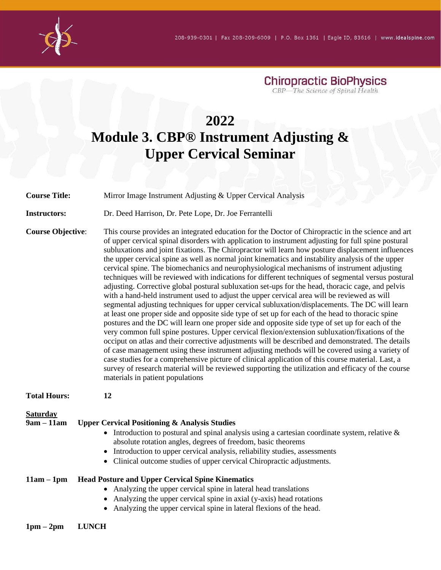

**Chiropractic BioPhysics** CBP-The Science of Spinal Health

## **2022 Module 3. CBP® Instrument Adjusting & Upper Cervical Seminar**

**Course Title:** Mirror Image Instrument Adjusting & Upper Cervical Analysis

**Instructors:** Dr. Deed Harrison, Dr. Pete Lope, Dr. Joe Ferrantelli

**Course Objective**: This course provides an integrated education for the Doctor of Chiropractic in the science and art of upper cervical spinal disorders with application to instrument adjusting for full spine postural subluxations and joint fixations. The Chiropractor will learn how posture displacement influences the upper cervical spine as well as normal joint kinematics and instability analysis of the upper cervical spine. The biomechanics and neurophysiological mechanisms of instrument adjusting techniques will be reviewed with indications for different techniques of segmental versus postural adjusting. Corrective global postural subluxation set-ups for the head, thoracic cage, and pelvis with a hand-held instrument used to adjust the upper cervical area will be reviewed as will segmental adjusting techniques for upper cervical subluxation/displacements. The DC will learn at least one proper side and opposite side type of set up for each of the head to thoracic spine postures and the DC will learn one proper side and opposite side type of set up for each of the very common full spine postures. Upper cervical flexion/extension subluxation/fixations of the occiput on atlas and their corrective adjustments will be described and demonstrated. The details of case management using these instrument adjusting methods will be covered using a variety of case studies for a comprehensive picture of clinical application of this course material. Last, a survey of research material will be reviewed supporting the utilization and efficacy of the course materials in patient populations

## **Total Hours: 12**

| <b>Saturday</b> |                                                                                                                                                                                                                                                                                                                            |
|-----------------|----------------------------------------------------------------------------------------------------------------------------------------------------------------------------------------------------------------------------------------------------------------------------------------------------------------------------|
| $9am - 11am$    | <b>Upper Cervical Positioning &amp; Analysis Studies</b>                                                                                                                                                                                                                                                                   |
|                 | • Introduction to postural and spinal analysis using a cartesian coordinate system, relative $\&$<br>absolute rotation angles, degrees of freedom, basic theorems<br>• Introduction to upper cervical analysis, reliability studies, assessments<br>• Clinical outcome studies of upper cervical Chiropractic adjustments. |
| $11am - 1pm$    | <b>Head Posture and Upper Cervical Spine Kinematics</b><br>• Analyzing the upper cervical spine in lateral head translations<br>• Analyzing the upper cervical spine in axial (y-axis) head rotations<br>• Analyzing the upper cervical spine in lateral flexions of the head.                                             |

**1pm – 2pm LUNCH**